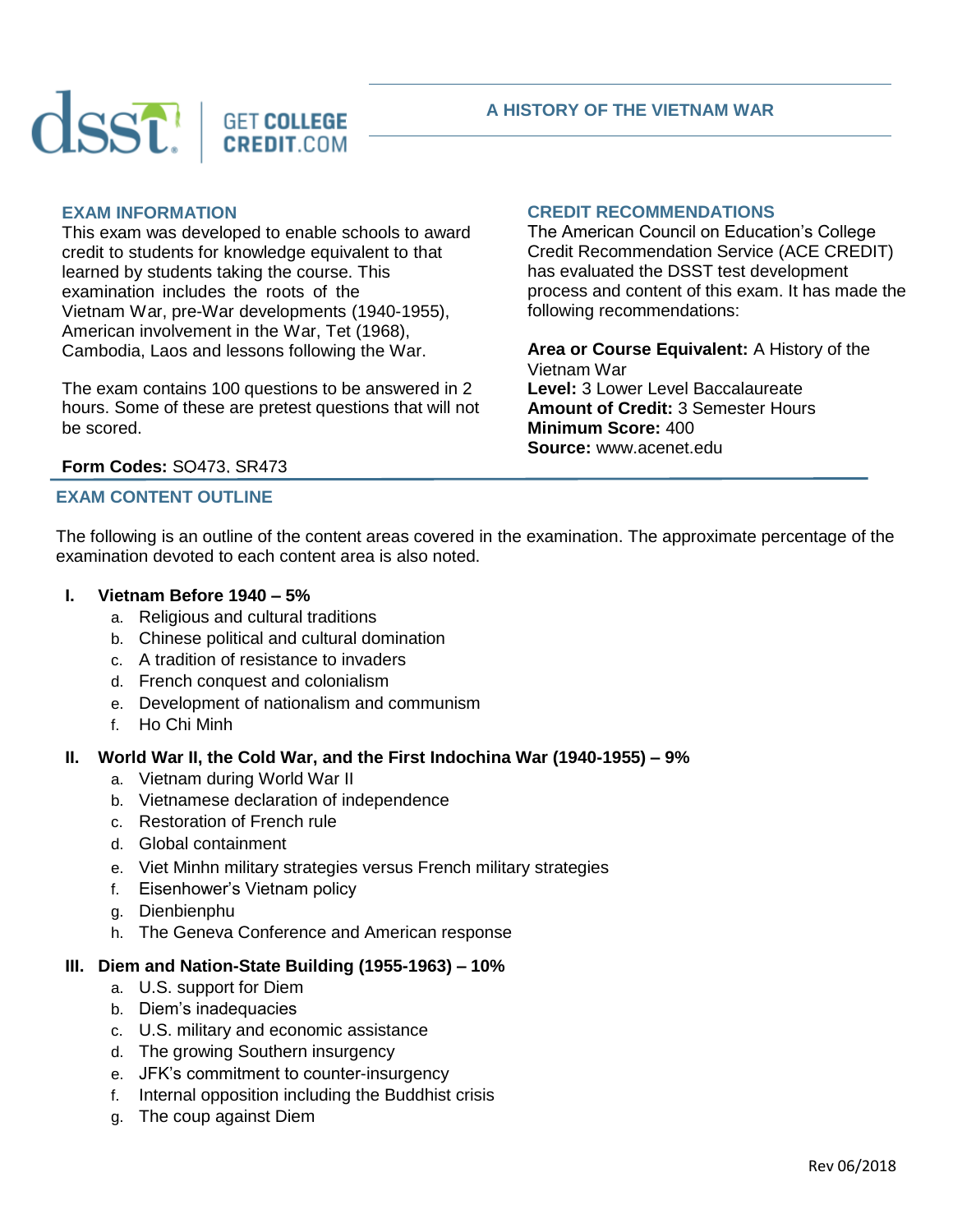



#### **A HISTORY OF THE VIETNAM WAR**

## **EXAM INFORMATION**

This exam was developed to enable schools to award credit to students for knowledge equivalent to that learned by students taking the course. This examination includes the roots of the Vietnam War, pre-War developments (1940-1955), American involvement in the War, Tet (1968), Cambodia, Laos and lessons following the War.

The exam contains 100 questions to be answered in 2 hours. Some of these are pretest questions that will not be scored.

#### **CREDIT RECOMMENDATIONS**

The American Council on Education's College Credit Recommendation Service (ACE CREDIT) has evaluated the DSST test development process and content of this exam. It has made the following recommendations:

**Area or Course Equivalent:** A History of the Vietnam War **Level:** 3 Lower Level Baccalaureate **Amount of Credit:** 3 Semester Hours **Minimum Score:** 400 **Source:** www.acenet.edu

# **Form Codes:** SQ473, SR473

# **EXAM CONTENT OUTLINE**

The following is an outline of the content areas covered in the examination. The approximate percentage of the examination devoted to each content area is also noted.

#### **I. Vietnam Before 1940 – 5%**

- a. Religious and cultural traditions
- b. Chinese political and cultural domination
- c. A tradition of resistance to invaders
- d. French conquest and colonialism
- e. Development of nationalism and communism
- f. Ho Chi Minh

#### **II. World War II, the Cold War, and the First Indochina War (1940-1955) – 9%**

- a. Vietnam during World War II
- b. Vietnamese declaration of independence
- c. Restoration of French rule
- d. Global containment
- e. Viet Minhn military strategies versus French military strategies
- f. Eisenhower's Vietnam policy
- g. Dienbienphu
- h. The Geneva Conference and American response

#### **III. Diem and Nation-State Building (1955-1963) – 10%**

- a. U.S. support for Diem
- b. Diem's inadequacies
- c. U.S. military and economic assistance
- d. The growing Southern insurgency
- e. JFK's commitment to counter-insurgency
- f. Internal opposition including the Buddhist crisis
- g. The coup against Diem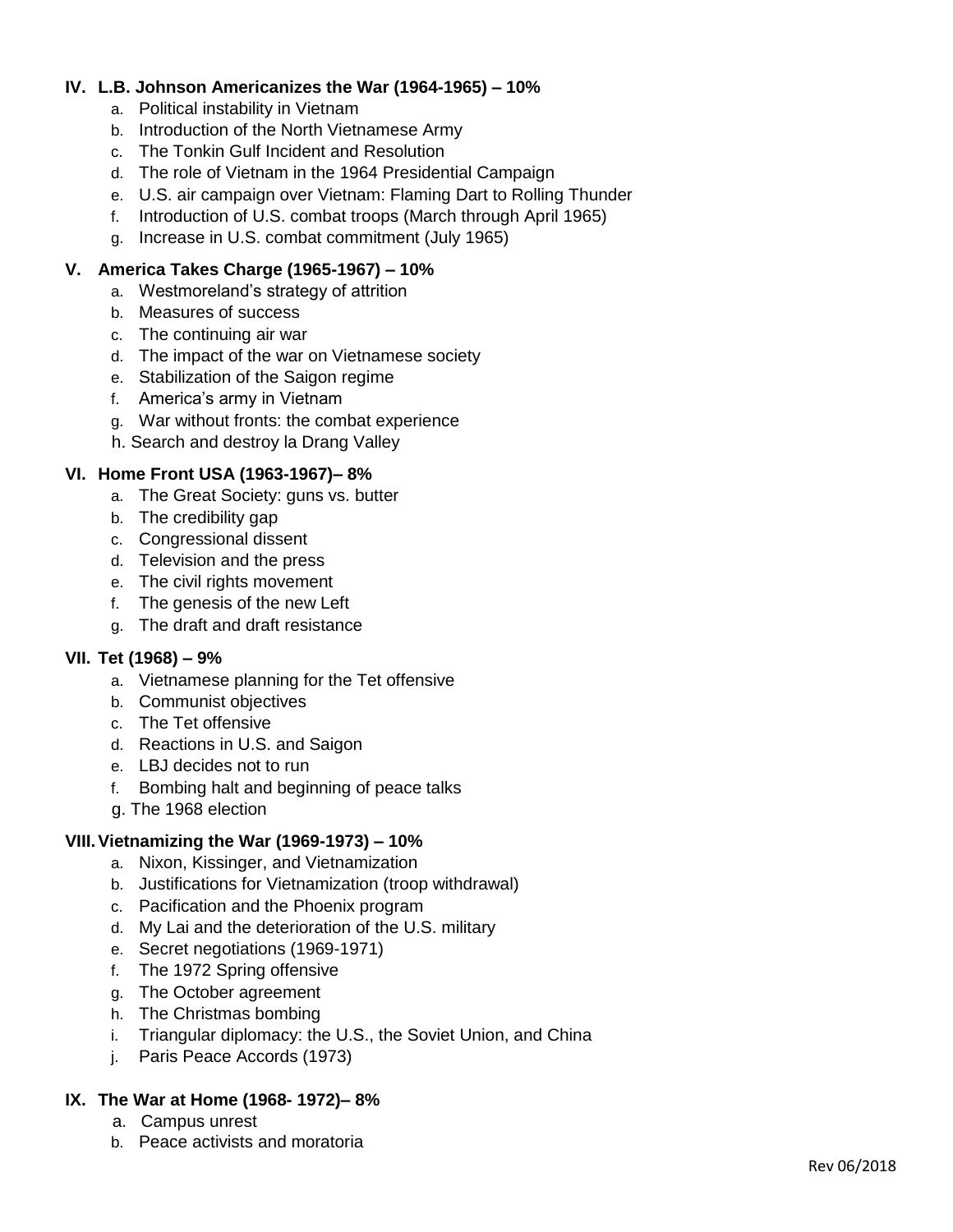## **IV. L.B. Johnson Americanizes the War (1964-1965) – 10%**

- a. Political instability in Vietnam
- b. Introduction of the North Vietnamese Army
- c. The Tonkin Gulf Incident and Resolution
- d. The role of Vietnam in the 1964 Presidential Campaign
- e. U.S. air campaign over Vietnam: Flaming Dart to Rolling Thunder
- f. Introduction of U.S. combat troops (March through April 1965)
- g. Increase in U.S. combat commitment (July 1965)

## **V. America Takes Charge (1965-1967) – 10%**

- a. Westmoreland's strategy of attrition
- b. Measures of success
- c. The continuing air war
- d. The impact of the war on Vietnamese society
- e. Stabilization of the Saigon regime
- f. America's army in Vietnam
- g. War without fronts: the combat experience
- h. Search and destroy la Drang Valley

## **VI. Home Front USA (1963-1967)– 8%**

- a. The Great Society: guns vs. butter
- b. The credibility gap
- c. Congressional dissent
- d. Television and the press
- e. The civil rights movement
- f. The genesis of the new Left
- g. The draft and draft resistance

# **VII. Tet (1968) – 9%**

- a. Vietnamese planning for the Tet offensive
- b. Communist objectives
- c. The Tet offensive
- d. Reactions in U.S. and Saigon
- e. LBJ decides not to run
- f. Bombing halt and beginning of peace talks
- g. The 1968 election

# **VIII.Vietnamizing the War (1969-1973) – 10%**

- a. Nixon, Kissinger, and Vietnamization
- b. Justifications for Vietnamization (troop withdrawal)
- c. Pacification and the Phoenix program
- d. My Lai and the deterioration of the U.S. military
- e. Secret negotiations (1969-1971)
- f. The 1972 Spring offensive
- g. The October agreement
- h. The Christmas bombing
- i. Triangular diplomacy: the U.S., the Soviet Union, and China
- j. Paris Peace Accords (1973)

# **IX. The War at Home (1968- 1972)– 8%**

- a. Campus unrest
- b. Peace activists and moratoria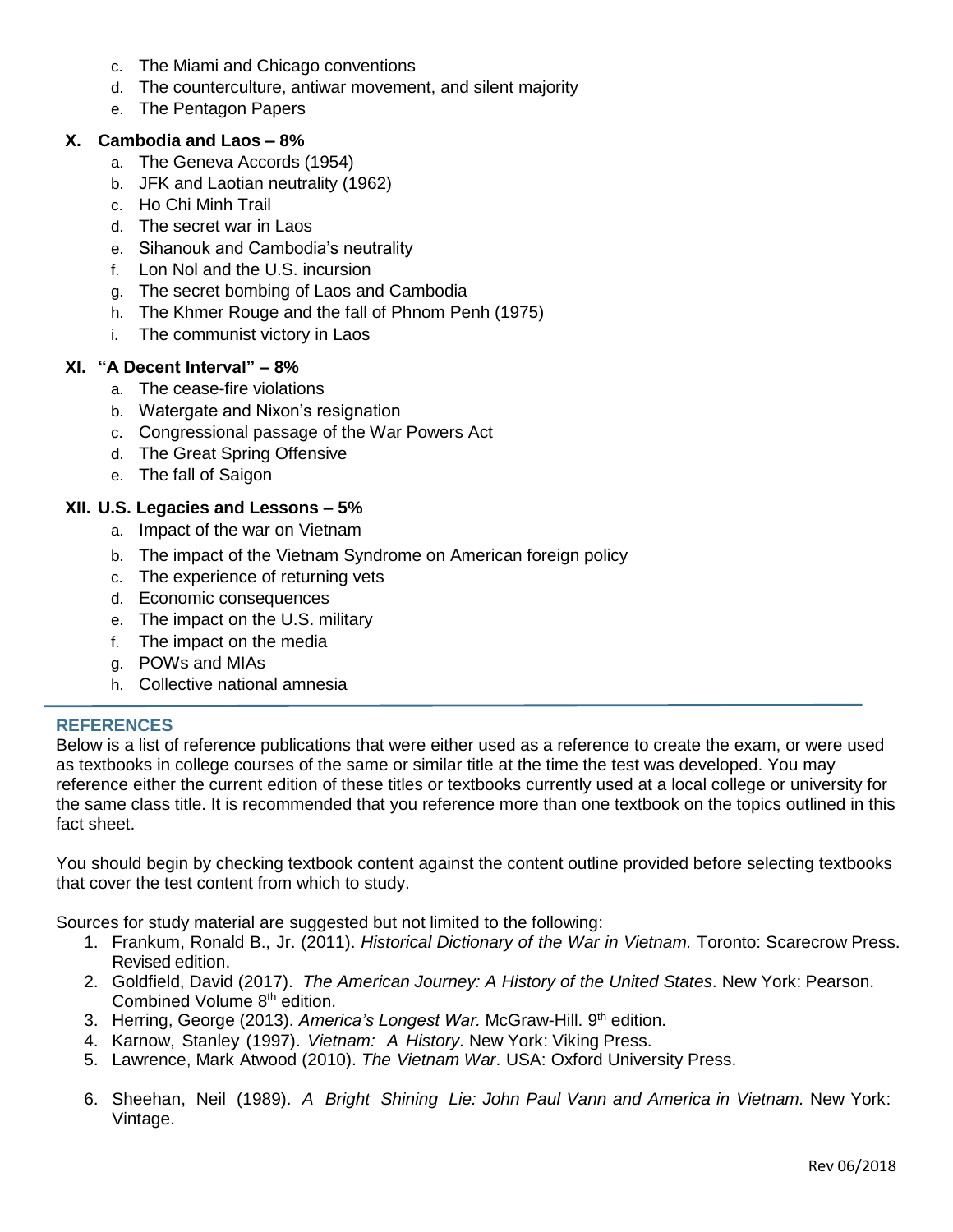- c. The Miami and Chicago conventions
- d. The counterculture, antiwar movement, and silent majority
- e. The Pentagon Papers

#### **X. Cambodia and Laos – 8%**

- a. The Geneva Accords (1954)
- b. JFK and Laotian neutrality (1962)
- c. Ho Chi Minh Trail
- d. The secret war in Laos
- e. Sihanouk and Cambodia's neutrality
- f. Lon Nol and the U.S. incursion
- g. The secret bombing of Laos and Cambodia
- h. The Khmer Rouge and the fall of Phnom Penh (1975)
- i. The communist victory in Laos

## **XI. "A Decent Interval" – 8%**

- a. The cease-fire violations
- b. Watergate and Nixon's resignation
- c. Congressional passage of the War Powers Act
- d. The Great Spring Offensive
- e. The fall of Saigon

#### **XII. U.S. Legacies and Lessons – 5%**

- a. Impact of the war on Vietnam
- b. The impact of the Vietnam Syndrome on American foreign policy
- c. The experience of returning vets
- d. Economic consequences
- e. The impact on the U.S. military
- f. The impact on the media
- g. POWs and MIAs
- h. Collective national amnesia

#### **REFERENCES**

Below is a list of reference publications that were either used as a reference to create the exam, or were used as textbooks in college courses of the same or similar title at the time the test was developed. You may reference either the current edition of these titles or textbooks currently used at a local college or university for the same class title. It is recommended that you reference more than one textbook on the topics outlined in this fact sheet.

You should begin by checking textbook content against the content outline provided before selecting textbooks that cover the test content from which to study.

Sources for study material are suggested but not limited to the following:

- 1. Frankum, Ronald B., Jr. (2011). *Historical Dictionary of the War in Vietnam.* Toronto: Scarecrow Press. Revised edition.
- 2. Goldfield, David (2017). *The American Journey: A History of the United States*. New York: Pearson. Combined Volume 8th edition.
- 3. Herring, George (2013). America's Longest War. McGraw-Hill. 9<sup>th</sup> edition.
- 4. Karnow, Stanley (1997). *Vietnam: A History*. New York: Viking Press.
- 5. Lawrence, Mark Atwood (2010). *The Vietnam War*. USA: Oxford University Press.
- 6. Sheehan, Neil (1989). *A Bright Shining Lie: John Paul Vann and America in Vietnam.* New York: Vintage.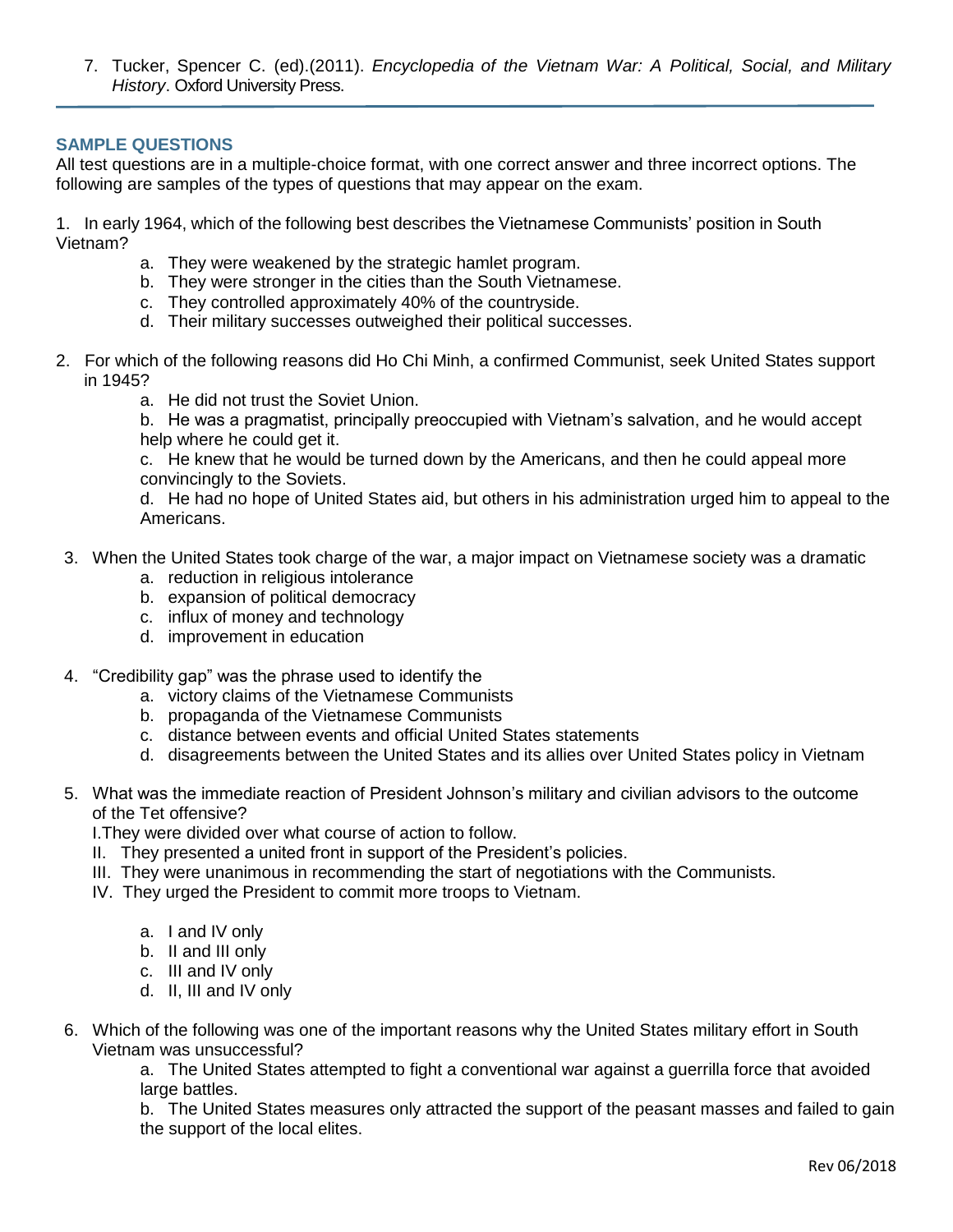7. Tucker, Spencer C. (ed).(2011). *Encyclopedia of the Vietnam War: A Political, Social, and Military History*. Oxford University Press.

#### **SAMPLE QUESTIONS**

All test questions are in a multiple-choice format, with one correct answer and three incorrect options. The following are samples of the types of questions that may appear on the exam.

1. In early 1964, which of the following best describes the Vietnamese Communists' position in South Vietnam?

- a. They were weakened by the strategic hamlet program.
- b. They were stronger in the cities than the South Vietnamese.
- c. They controlled approximately 40% of the countryside.
- d. Their military successes outweighed their political successes.
- 2. For which of the following reasons did Ho Chi Minh, a confirmed Communist, seek United States support in 1945?
	- a. He did not trust the Soviet Union.

b. He was a pragmatist, principally preoccupied with Vietnam's salvation, and he would accept help where he could get it.

c. He knew that he would be turned down by the Americans, and then he could appeal more convincingly to the Soviets.

d. He had no hope of United States aid, but others in his administration urged him to appeal to the Americans.

- 3. When the United States took charge of the war, a major impact on Vietnamese society was a dramatic
	- a. reduction in religious intolerance
	- b. expansion of political democracy
	- c. influx of money and technology
	- d. improvement in education
- 4. "Credibility gap" was the phrase used to identify the
	- a. victory claims of the Vietnamese Communists
	- b. propaganda of the Vietnamese Communists
	- c. distance between events and official United States statements
	- d. disagreements between the United States and its allies over United States policy in Vietnam
- 5. What was the immediate reaction of President Johnson's military and civilian advisors to the outcome of the Tet offensive?

I.They were divided over what course of action to follow.

- II. They presented a united front in support of the President's policies.
- III. They were unanimous in recommending the start of negotiations with the Communists.
- IV. They urged the President to commit more troops to Vietnam.
	- a. I and IV only
	- b. II and III only
	- c. III and IV only
	- d. II, III and IV only
- 6. Which of the following was one of the important reasons why the United States military effort in South Vietnam was unsuccessful?

a. The United States attempted to fight a conventional war against a guerrilla force that avoided large battles.

b. The United States measures only attracted the support of the peasant masses and failed to gain the support of the local elites.